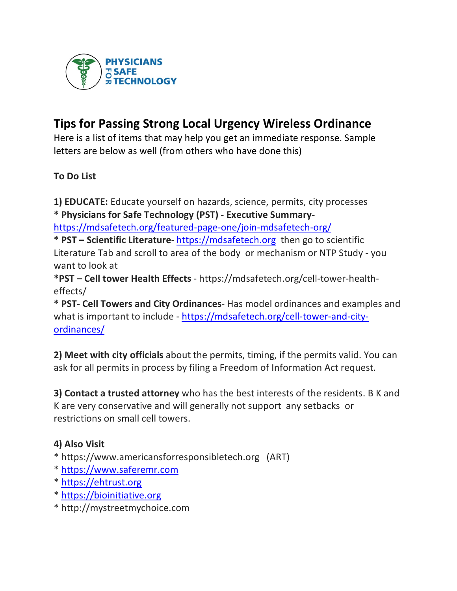

# **Tips for Passing Strong Local Urgency Wireless Ordinance**

Here is a list of items that may help you get an immediate response. Sample letters are below as well (from others who have done this)

**To Do List**

**1) EDUCATE:** Educate yourself on hazards, science, permits, city processes **\* Physicians for Safe Technology (PST) - Executive Summary-**

https://mdsafetech.org/featured-page-one/join-mdsafetech-org/

**\* PST – Scientific Literature**- https://mdsafetech.org then go to scientific Literature Tab and scroll to area of the body or mechanism or NTP Study - you want to look at

**\*PST – Cell tower Health Effects** - https://mdsafetech.org/cell-tower-healtheffects/

**\* PST- Cell Towers and City Ordinances**- Has model ordinances and examples and what is important to include - https://mdsafetech.org/cell-tower-and-cityordinances/

**2) Meet with city officials** about the permits, timing, if the permits valid. You can ask for all permits in process by filing a Freedom of Information Act request.

**3) Contact a trusted attorney** who has the best interests of the residents. B K and K are very conservative and will generally not support any setbacks or restrictions on small cell towers.

# **4) Also Visit**

- \* https://www.americansforresponsibletech.org (ART)
- \* https://www.saferemr.com
- \* https://ehtrust.org
- \* https://bioinitiative.org
- \* http://mystreetmychoice.com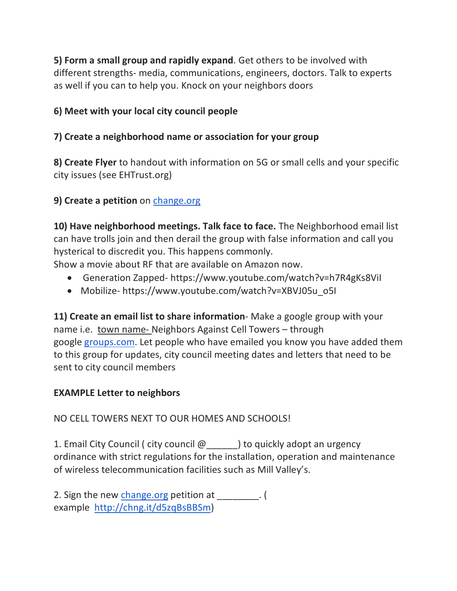**5) Form a small group and rapidly expand**. Get others to be involved with different strengths- media, communications, engineers, doctors. Talk to experts as well if you can to help you. Knock on your neighbors doors

# **6) Meet with your local city council people**

# **7) Create a neighborhood name or association for your group**

**8) Create Flyer** to handout with information on 5G or small cells and your specific city issues (see EHTrust.org)

# **9) Create a petition** on change.org

**10) Have neighborhood meetings. Talk face to face.** The Neighborhood email list can have trolls join and then derail the group with false information and call you hysterical to discredit you. This happens commonly.

Show a movie about RF that are available on Amazon now.

- Generation Zapped- https://www.youtube.com/watch?v=h7R4gKs8ViI
- Mobilize- https://www.youtube.com/watch?v=XBVJ05u\_o5I

**11) Create an email list to share information**- Make a google group with your name i.e. town name- Neighbors Against Cell Towers – through google groups.com. Let people who have emailed you know you have added them to this group for updates, city council meeting dates and letters that need to be sent to city council members

#### **EXAMPLE Letter to neighbors**

NO CELL TOWERS NEXT TO OUR HOMES AND SCHOOLS!

1. Email City Council ( city council  $\omega$  \_\_\_\_\_\_) to quickly adopt an urgency ordinance with strict regulations for the installation, operation and maintenance of wireless telecommunication facilities such as Mill Valley's.

2. Sign the new change.org petition at \_\_\_\_\_\_\_. ( example http://chng.it/d5zqBsBBSm)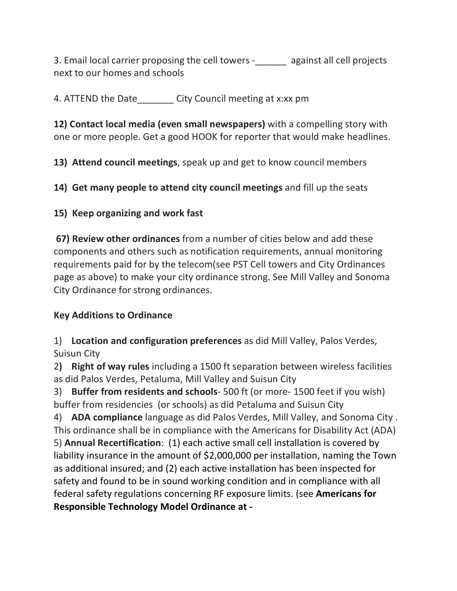3. Email local carrier proposing the cell towers -\_\_\_\_\_\_ against all cell projects next to our homes and schools

4. ATTEND the Date City Council meeting at x:xx pm

**12) Contact local media (even small newspapers)** with a compelling story with one or more people. Get a good HOOK for reporter that would make headlines.

**13) Attend council meetings**, speak up and get to know council members

**14) Get many people to attend city council meetings** and fill up the seats

## **15) Keep organizing and work fast**

**67) Review other ordinances** from a number of cities below and add these components and others such as notification requirements, annual monitoring requirements paid for by the telecom(see PST Cell towers and City Ordinances page as above) to make your city ordinance strong. See Mill Valley and Sonoma City Ordinance for strong ordinances.

#### **Key Additions to Ordinance**

1) **Location and configuration preferences** as did Mill Valley, Palos Verdes, Suisun City

2**) Right of way rules** including a 1500 ft separation between wireless facilities as did Palos Verdes, Petaluma, Mill Valley and Suisun City

3) **Buffer from residents and schools**- 500 ft (or more- 1500 feet if you wish) buffer from residencies (or schools) as did Petaluma and Suisun City

4) **ADA compliance** language as did Palos Verdes, Mill Valley, and Sonoma City . This ordinance shall be in compliance with the Americans for Disability Act (ADA) 5) **Annual Recertification**: (1) each active small cell installation is covered by liability insurance in the amount of \$2,000,000 per installation, naming the Town as additional insured; and (2) each active installation has been inspected for safety and found to be in sound working condition and in compliance with all federal safety regulations concerning RF exposure limits. (see **Americans for Responsible Technology Model Ordinance at -**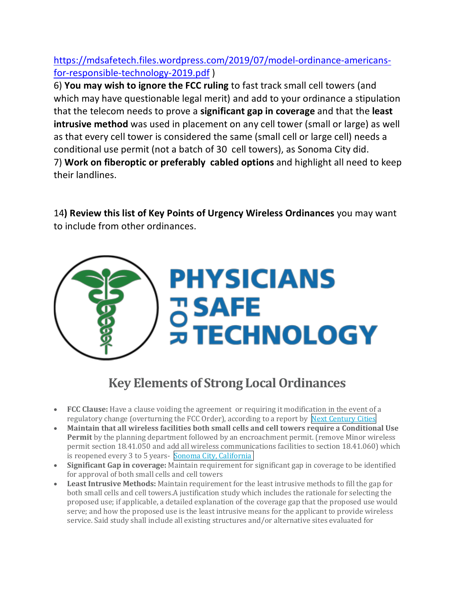# https://mdsafetech.files.wordpress.com/2019/07/model-ordinance-americansfor-responsible-technology-2019.pdf )

6) **You may wish to ignore the FCC ruling** to fast track small cell towers (and which may have questionable legal merit) and add to your ordinance a stipulation that the telecom needs to prove a **significant gap in coverage** and that the **least intrusive method** was used in placement on any cell tower (small or large) as well as that every cell tower is considered the same (small cell or large cell) needs a conditional use permit (not a batch of 30 cell towers), as Sonoma City did. 7) **Work on fiberoptic or preferably cabled options** and highlight all need to keep their landlines.

14**) Review this list of Key Points of Urgency Wireless Ordinances** you may want to include from other ordinances.



# **Key Elements of Strong Local Ordinances**

- **FCC Clause:** Have a clause voiding the agreement or requiring it modification in the event of a regulatory change (overturning the FCC Order), according to a report by Next Century Cities
- Maintain that all wireless facilities both small cells and cell towers require a Conditional Use **Permit** by the planning department followed by an encroachment permit. (remove Minor wireless permit section 18.41.050 and add all wireless communications facilities to section 18.41.060) which is reopened every 3 to 5 years- Sonoma City, California
- **Significant Gap in coverage:** Maintain requirement for significant gap in coverage to be identified for approval of both small cells and cell towers
- Least Intrusive Methods: Maintain requirement for the least intrusive methods to fill the gap for both small cells and cell towers.A justification study which includes the rationale for selecting the proposed use; if applicable, a detailed explanation of the coverage gap that the proposed use would serve; and how the proposed use is the least intrusive means for the applicant to provide wireless service. Said study shall include all existing structures and/or alternative sites evaluated for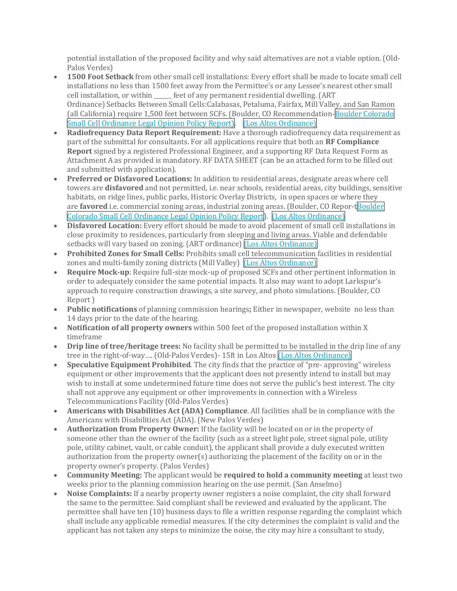potential installation of the proposed facility and why said alternatives are not a viable option. (Old-Palos Verdes)

- **1500 Foot Setback** from other small cell installations: Every effort shall be made to locate small cell installations no less than 1500 feet away from the Permittee's or any Lessee's nearest other small cell installation, or within \_\_\_\_\_ feet of any permanent residential dwelling. (ART Ordinance) Setbacks Between Small Cells:Calabasas, Petaluma, Fairfax, Mill Valley, and San Ramon (all California) require 1,500 feet between SCFs. (Boulder, CO Recommendation-Boulder Colorado Small Cell Ordinance Legal Opinion Policy Report). [Los Altos Ordinance]
- **Radiofrequency Data Report Requirement:** Have a thorough radiofrequency data requirement as part of the submittal for consultants. For all applications require that both an **RF Compliance Report** signed by a registered Professional Engineer, and a supporting RF Data Request Form as Attachment A as provided is mandatory. RF DATA SHEET (can be an attached form to be filled out and submitted with application).
- Preferred or Disfavored Locations: In addition to residential areas, designate areas where cell towers are **disfavored** and not permitted, i.e. near schools, residential areas, city buildings, sensitive habitats, on ridge lines, public parks, Historic Overlay Districts, in open spaces or where they are **favored** i.e. commercial zoning areas, industrial zoning areas. (Boulder, CO Repor-tBoulder Colorado Small Cell Ordinance Legal Opinion Policy Report). (Los Altos Ordinance)
- **Disfavored Location:** Every effort should be made to avoid placement of small cell installations in close proximity to residences, particularly from sleeping and living areas. Viable and defendable setbacks will vary based on zoning. (ART ordinance) [Los Altos Ordinance]
- **Prohibited Zones for Small Cells:** Prohibits small cell telecommunication facilities in residential zones and multi-family zoning districts (Mill Valley) [Los Altos Ordinance]
- **Require Mock-up**: Require full-size mock-up of proposed SCFs and other pertinent information in order to adequately consider the same potential impacts. It also may want to adopt Larkspur's approach to require construction drawings, a site survey, and photo simulations. (Boulder, CO Report )
- **Public notifications** of planning commission hearings; Either in newspaper, website no less than 14 days prior to the date of the hearing.
- **Notification of all property owners** within 500 feet of the proposed installation within X timeframe
- **Drip line of tree/heritage trees:** No facility shall be permitted to be installed in the drip line of any tree in the right-of-way.... (Old-Palos Verdes)- 15ft in Los Altos (Los Altos Ordinance)
- **Speculative Equipment Prohibited**. The city finds that the practice of "pre- approving" wireless equipment or other improvements that the applicant does not presently intend to install but may wish to install at some undetermined future time does not serve the public's best interest. The city shall not approve any equipment or other improvements in connection with a Wireless Telecommunications Facility (Old-Palos Verdes)
- Americans with Disabilities Act (ADA) Compliance. All facilities shall be in compliance with the Americans with Disabilities Act (ADA). (New Palos Verdes)
- **Authorization from Property Owner:** If the facility will be located on or in the property of someone other than the owner of the facility (such as a street light pole, street signal pole, utility pole, utility cabinet, vault, or cable conduit), the applicant shall provide a duly executed written authorization from the property owner(s) authorizing the placement of the facility on or in the property owner's property. (Palos Verdes)
- **Community Meeting:** The applicant would be **required to hold a community meeting** at least two weeks prior to the planning commission hearing on the use permit. (San Anselmo)
- **Noise Complaints:** If a nearby property owner registers a noise complaint, the city shall forward the same to the permittee. Said compliant shall be reviewed and evaluated by the applicant. The permittee shall have ten (10) business days to file a written response regarding the complaint which shall include any applicable remedial measures. If the city determines the complaint is valid and the applicant has not taken any steps to minimize the noise, the city may hire a consultant to study,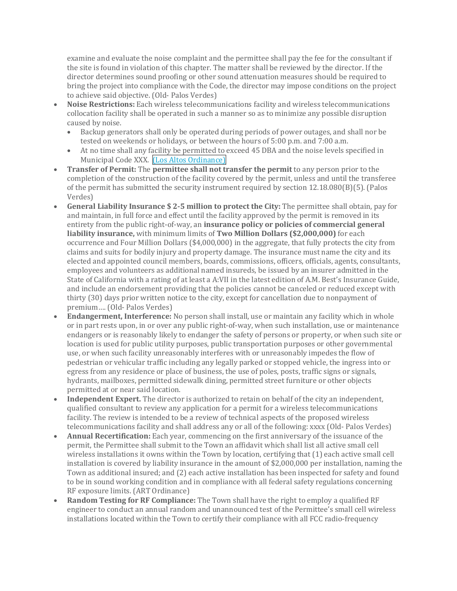examine and evaluate the noise complaint and the permittee shall pay the fee for the consultant if the site is found in violation of this chapter. The matter shall be reviewed by the director. If the director determines sound proofing or other sound attenuation measures should be required to bring the project into compliance with the Code, the director may impose conditions on the project to achieve said objective. (Old- Palos Verdes)

- Noise Restrictions: Each wireless telecommunications facility and wireless telecommunications collocation facility shall be operated in such a manner so as to minimize any possible disruption caused by noise.
	- Backup generators shall only be operated during periods of power outages, and shall nor be tested on weekends or holidays, or between the hours of 5:00 p.m. and 7:00 a.m.
	- At no time shall any facility be permitted to exceed 45 DBA and the noise levels specified in Municipal Code XXX. [Los Altos Ordinance]
- **Transfer of Permit:** The **permittee shall not transfer the permit** to any person prior to the completion of the construction of the facility covered by the permit, unless and until the transferee of the permit has submitted the security instrument required by section  $12.18.080(B)(5)$ . (Palos Verdes)
- **General Liability Insurance \$ 2-5 million to protect the City:** The permittee shall obtain, pay for and maintain, in full force and effect until the facility approved by the permit is removed in its entirety from the public right-of-way, an **insurance policy or policies of commercial general liability insurance,** with minimum limits of **Two Million Dollars (\$2,000,000)** for each occurrence and Four Million Dollars (\$4,000,000) in the aggregate, that fully protects the city from claims and suits for bodily injury and property damage. The insurance must name the city and its elected and appointed council members, boards, commissions, officers, officials, agents, consultants, employees and volunteers as additional named insureds, be issued by an insurer admitted in the State of California with a rating of at least a A:VII in the latest edition of A.M. Best's Insurance Guide, and include an endorsement providing that the policies cannot be canceled or reduced except with thirty (30) days prior written notice to the city, except for cancellation due to nonpayment of premium.... (Old- Palos Verdes)
- **Endangerment, Interference:** No person shall install, use or maintain any facility which in whole or in part rests upon, in or over any public right-of-way, when such installation, use or maintenance endangers or is reasonably likely to endanger the safety of persons or property, or when such site or location is used for public utility purposes, public transportation purposes or other governmental use, or when such facility unreasonably interferes with or unreasonably impedes the flow of pedestrian or vehicular traffic including any legally parked or stopped vehicle, the ingress into or egress from any residence or place of business, the use of poles, posts, traffic signs or signals, hydrants, mailboxes, permitted sidewalk dining, permitted street furniture or other objects permitted at or near said location.
- **Independent Expert.** The director is authorized to retain on behalf of the city an independent, qualified consultant to review any application for a permit for a wireless telecommunications facility. The review is intended to be a review of technical aspects of the proposed wireless telecommunications facility and shall address any or all of the following: xxxx (Old- Palos Verdes)
- Annual Recertification: Each year, commencing on the first anniversary of the issuance of the permit, the Permittee shall submit to the Town an affidavit which shall list all active small cell wireless installations it owns within the Town by location, certifying that  $(1)$  each active small cell installation is covered by liability insurance in the amount of \$2,000,000 per installation, naming the Town as additional insured; and (2) each active installation has been inspected for safety and found to be in sound working condition and in compliance with all federal safety regulations concerning RF exposure limits. (ART Ordinance)
- **Random Testing for RF Compliance:** The Town shall have the right to employ a qualified RF engineer to conduct an annual random and unannounced test of the Permittee's small cell wireless installations located within the Town to certify their compliance with all FCC radio-frequency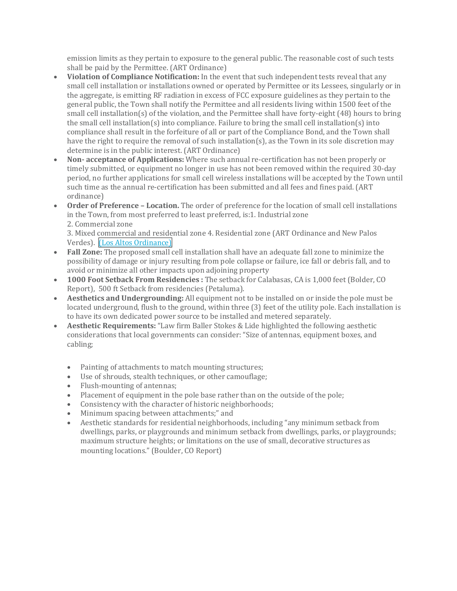emission limits as they pertain to exposure to the general public. The reasonable cost of such tests shall be paid by the Permittee. (ART Ordinance)

- **Violation of Compliance Notification:** In the event that such independent tests reveal that any small cell installation or installations owned or operated by Permittee or its Lessees, singularly or in the aggregate, is emitting RF radiation in excess of FCC exposure guidelines as they pertain to the general public, the Town shall notify the Permittee and all residents living within 1500 feet of the small cell installation(s) of the violation, and the Permittee shall have forty-eight  $(48)$  hours to bring the small cell installation(s) into compliance. Failure to bring the small cell installation(s) into compliance shall result in the forfeiture of all or part of the Compliance Bond, and the Town shall have the right to require the removal of such installation(s), as the Town in its sole discretion may determine is in the public interest. (ART Ordinance)
- **Non- acceptance** of **Applications:** Where such annual re-certification has not been properly or timely submitted, or equipment no longer in use has not been removed within the required 30-day period, no further applications for small cell wireless installations will be accepted by the Town until such time as the annual re-certification has been submitted and all fees and fines paid. (ART ordinance)
- Order of Preference Location. The order of preference for the location of small cell installations in the Town, from most preferred to least preferred, is:1. Industrial zone 2. Commercial zone

3. Mixed commercial and residential zone 4. Residential zone (ART Ordinance and New Palos Verdes). *(Los Altos Ordinance)* 

- **Fall Zone:** The proposed small cell installation shall have an adequate fall zone to minimize the possibility of damage or injury resulting from pole collapse or failure, ice fall or debris fall, and to avoid or minimize all other impacts upon adjoining property
- **1000 Foot Setback From Residencies**: The setback for Calabasas, CA is 1,000 feet (Bolder, CO) Report), 500 ft Setback from residencies (Petaluma).
- **Aesthetics and Undergrounding:** All equipment not to be installed on or inside the pole must be located underground, flush to the ground, within three (3) feet of the utility pole. Each installation is to have its own dedicated power source to be installed and metered separately.
- Aesthetic Requirements: "Law firm Baller Stokes & Lide highlighted the following aesthetic considerations that local governments can consider: "Size of antennas, equipment boxes, and cabling;
	- Painting of attachments to match mounting structures;
	- Use of shrouds, stealth techniques, or other camouflage;
	- Flush-mounting of antennas;
	- Placement of equipment in the pole base rather than on the outside of the pole;
	- Consistency with the character of historic neighborhoods;
	- Minimum spacing between attachments;" and
	- Aesthetic standards for residential neighborhoods, including "any minimum setback from dwellings, parks, or playgrounds and minimum setback from dwellings, parks, or playgrounds; maximum structure heights; or limitations on the use of small, decorative structures as mounting locations." (Boulder, CO Report)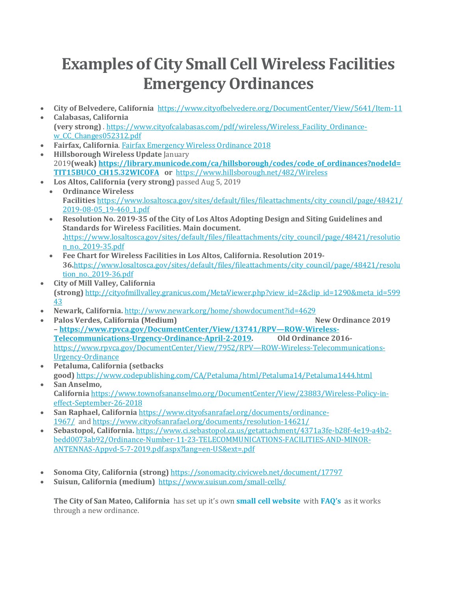# **Examples of City Small Cell Wireless Facilities Emergency Ordinances**

- **City of Belvedere, California** https://www.cityofbelvedere.org/DocumentCenter/View/5641/Item-11
- **Calabasas, California (very strong)** . https://www.cityofcalabasas.com/pdf/wireless/Wireless\_Facility\_Ordinancew\_CC\_Changes052312.pdf
- **Fairfax, California.** Fairfax Emergency Wireless Ordinance 2018
- **Hillsborough Wireless Update** January 2019**(weak) https://library.municode.com/ca/hillsborough/codes/code\_of\_ordinances?nodeId= TIT15BUCO\_CH15.32WICOFA or**  https://www.hillsborough.net/482/Wireless
- Los Altos, California (very strong) passed Aug 5, 2019
	- **Ordinance Wireless Facilities** https://www.losaltosca.gov/sites/default/files/fileattachments/city\_council/page/48421/ 2019-08-05\_19-460\_1.pdf
	- Resolution No. 2019-35 of the City of Los Altos Adopting Design and Siting Guidelines and **Standards for Wireless Facilities. Main document. .**https://www.losaltosca.gov/sites/default/files/fileattachments/city\_council/page/48421/resolutio n\_no.\_2019-35.pdf
	- **Fee Chart for Wireless Facilities in Los Altos, California. Resolution 2019- 36.**https://www.losaltosca.gov/sites/default/files/fileattachments/city\_council/page/48421/resolu tion\_no. 2019-36.pdf
- **City of Mill Valley, California (strong)** http://cityofmillvalley.granicus.com/MetaViewer.php?view\_id=2&clip\_id=1290&meta\_id=599 43
- **Newark, California.** http://www.newark.org/home/showdocument?id=4629
- **Palos Verdes, California (Medium)** *New Ordinance 2019* **– https://www.rpvca.gov/DocumentCenter/View/13741/RPV—ROW-Wireless-Telecommunications-Urgency-Ordinance-April-2-2019. Old Ordinance 2016** https://www.rpvca.gov/DocumentCenter/View/7952/RPV—ROW-Wireless-Telecommunications-Urgency-Ordinance
- **Petaluma, California (setbacks) good)** https://www.codepublishing.com/CA/Petaluma/html/Petaluma14/Petaluma1444.html
- San Anselmo. **California** https://www.townofsananselmo.org/DocumentCenter/View/23883/Wireless-Policy-ineffect-September-26-2018
- **San Raphael, California** https://www.cityofsanrafael.org/documents/ordinance-1967/ and https://www.cityofsanrafael.org/documents/resolution-14621/
- **Sebastopol, California.** https://www.ci.sebastopol.ca.us/getattachment/4371a3fe-b28f-4e19-a4b2 bedd0073ab92/Ordinance-Number-11-23-TELECOMMUNICATIONS-FACILITIES-AND-MINOR-ANTENNAS-Appvd-5-7-2019.pdf.aspx?lang=en-US&ext=.pdf
- **Sonoma City, California (strong)** https://sonomacity.civicweb.net/document/17797
- Suisun, California (medium) https://www.suisun.com/small-cells/

**The City of San Mateo, California** has set up it's own **small cell website** with **FAQ's** as it works through a new ordinance.